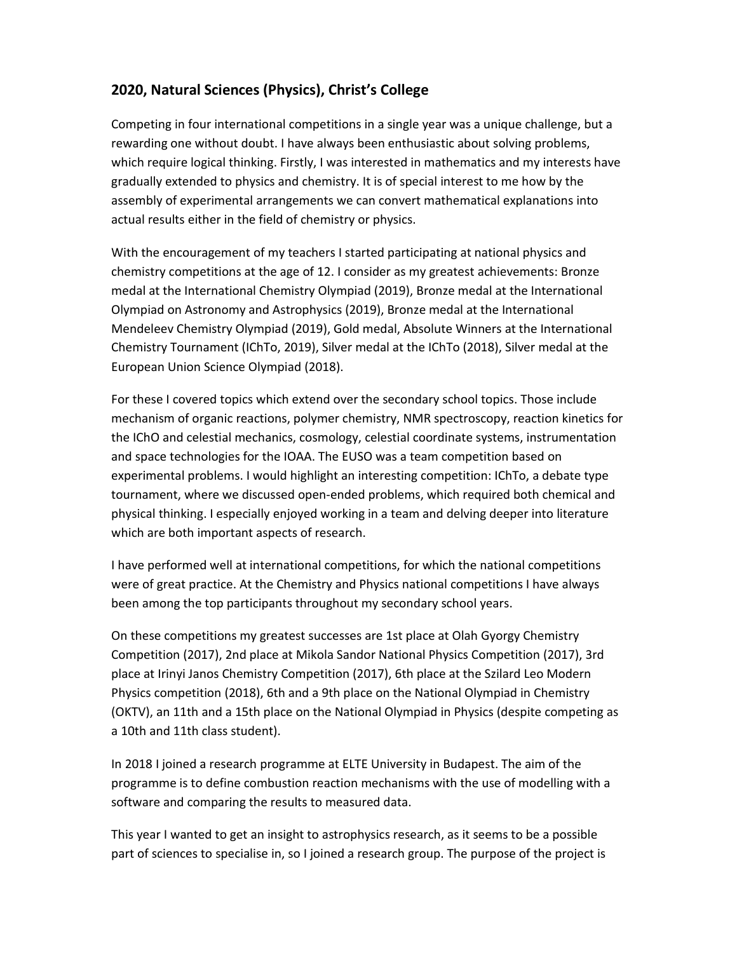## **2020, Natural Sciences (Physics), Christ's College**

Competing in four international competitions in a single year was a unique challenge, but a rewarding one without doubt. I have always been enthusiastic about solving problems, which require logical thinking. Firstly, I was interested in mathematics and my interests have gradually extended to physics and chemistry. It is of special interest to me how by the assembly of experimental arrangements we can convert mathematical explanations into actual results either in the field of chemistry or physics.

With the encouragement of my teachers I started participating at national physics and chemistry competitions at the age of 12. I consider as my greatest achievements: Bronze medal at the International Chemistry Olympiad (2019), Bronze medal at the International Olympiad on Astronomy and Astrophysics (2019), Bronze medal at the International Mendeleev Chemistry Olympiad (2019), Gold medal, Absolute Winners at the International Chemistry Tournament (IChTo, 2019), Silver medal at the IChTo (2018), Silver medal at the European Union Science Olympiad (2018).

For these I covered topics which extend over the secondary school topics. Those include mechanism of organic reactions, polymer chemistry, NMR spectroscopy, reaction kinetics for the IChO and celestial mechanics, cosmology, celestial coordinate systems, instrumentation and space technologies for the IOAA. The EUSO was a team competition based on experimental problems. I would highlight an interesting competition: IChTo, a debate type tournament, where we discussed open-ended problems, which required both chemical and physical thinking. I especially enjoyed working in a team and delving deeper into literature which are both important aspects of research.

I have performed well at international competitions, for which the national competitions were of great practice. At the Chemistry and Physics national competitions I have always been among the top participants throughout my secondary school years.

On these competitions my greatest successes are 1st place at Olah Gyorgy Chemistry Competition (2017), 2nd place at Mikola Sandor National Physics Competition (2017), 3rd place at Irinyi Janos Chemistry Competition (2017), 6th place at the Szilard Leo Modern Physics competition (2018), 6th and a 9th place on the National Olympiad in Chemistry (OKTV), an 11th and a 15th place on the National Olympiad in Physics (despite competing as a 10th and 11th class student).

In 2018 I joined a research programme at ELTE University in Budapest. The aim of the programme is to define combustion reaction mechanisms with the use of modelling with a software and comparing the results to measured data.

This year I wanted to get an insight to astrophysics research, as it seems to be a possible part of sciences to specialise in, so I joined a research group. The purpose of the project is